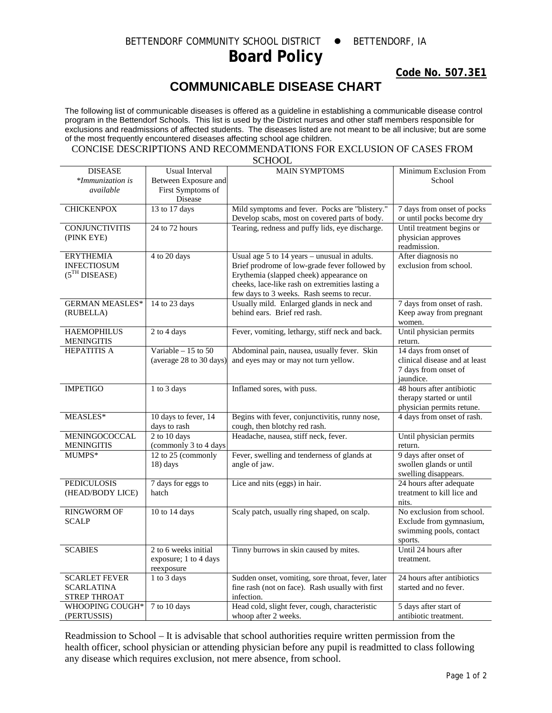## BETTENDORF COMMUNITY SCHOOL DISTRICT . BETTENDORF, IA **Board Policy**

**Code No. 507.3E1**

## **COMMUNICABLE DISEASE CHART**

The following list of communicable diseases is offered as a guideline in establishing a communicable disease control program in the Bettendorf Schools. This list is used by the District nurses and other staff members responsible for exclusions and readmissions of affected students. The diseases listed are not meant to be all inclusive; but are some of the most frequently encountered diseases affecting school age children.

## CONCISE DESCRIPTIONS AND RECOMMENDATIONS FOR EXCLUSION OF CASES FROM **SCHOOL**

| Between Exposure and<br>*Immunization is<br>School<br>First Symptoms of<br>available<br>Disease<br><b>CHICKENPOX</b><br>13 to 17 days<br>Mild symptoms and fever. Pocks are "blistery."<br>7 days from onset of pocks<br>Develop scabs, most on covered parts of body.<br>or until pocks become dry<br>24 to 72 hours<br>Tearing, redness and puffy lids, eye discharge.<br>Until treatment begins or<br><b>CONJUNCTIVITIS</b><br>physician approves<br>(PINK EYE)<br>readmission.<br>4 to 20 days<br>Usual age $5$ to $14$ years – unusual in adults.<br>After diagnosis no<br><b>ERYTHEMIA</b><br>Brief prodrome of low-grade fever followed by<br><b>INFECTIOSUM</b><br>exclusion from school.<br>(5 <sup>TH</sup> DISEASE)<br>Erythemia (slapped cheek) appearance on<br>cheeks, lace-like rash on extremities lasting a<br>few days to 3 weeks. Rash seems to recur.<br>Usually mild. Enlarged glands in neck and<br><b>GERMAN MEASLES*</b><br>14 to 23 days<br>7 days from onset of rash.<br>(RUBELLA)<br>behind ears. Brief red rash.<br>Keep away from pregnant<br>women.<br>Until physician permits<br>2 to 4 days<br>Fever, vomiting, lethargy, stiff neck and back.<br><b>HAEMOPHILUS</b><br><b>MENINGITIS</b><br>return.<br>Variable $-15$ to 50<br>14 days from onset of<br><b>HEPATITIS A</b><br>Abdominal pain, nausea, usually fever. Skin<br>(average 28 to 30 days)<br>and eyes may or may not turn yellow.<br>clinical disease and at least<br>7 days from onset of<br>jaundice.<br><b>IMPETIGO</b><br>1 to 3 days<br>Inflamed sores, with puss.<br>48 hours after antibiotic<br>therapy started or until<br>physician permits retune.<br>10 days to fever, 14<br>4 days from onset of rash.<br>Begins with fever, conjunctivitis, runny nose,<br>MEASLES*<br>days to rash<br>cough, then blotchy red rash.<br>2 to 10 days<br>Headache, nausea, stiff neck, fever.<br>MENINGOCOCCAL<br>Until physician permits<br>(commonly 3 to 4 days<br><b>MENINGITIS</b><br>return.<br>9 days after onset of<br>12 to 25 (commonly<br>Fever, swelling and tenderness of glands at<br>MUMPS*<br>swollen glands or until<br>18) days<br>angle of jaw.<br>swelling disappears.<br>24 hours after adequate<br><b>PEDICULOSIS</b><br>7 days for eggs to<br>Lice and nits (eggs) in hair.<br>(HEAD/BODY LICE)<br>hatch<br>treatment to kill lice and<br>nits.<br>10 to 14 days<br>Scaly patch, usually ring shaped, on scalp.<br><b>RINGWORM OF</b><br>No exclusion from school.<br><b>SCALP</b><br>Exclude from gymnasium,<br>swimming pools, contact<br>sports.<br><b>SCABIES</b><br>Tinny burrows in skin caused by mites.<br>Until 24 hours after<br>2 to 6 weeks initial<br>exposure; 1 to 4 days<br>treatment.<br>reexposure<br>Sudden onset, vomiting, sore throat, fever, later<br>24 hours after antibiotics<br><b>SCARLET FEVER</b><br>1 to 3 days<br><b>SCARLATINA</b><br>fine rash (not on face). Rash usually with first<br>started and no fever.<br><b>STREP THROAT</b><br>infection.<br>Head cold, slight fever, cough, characteristic<br>7 to 10 days<br>5 days after start of<br>WHOOPING COUGH* | <b>DISEASE</b> | <b>Usual Interval</b> | <b>MAIN SYMPTOMS</b> | Minimum Exclusion From |
|---------------------------------------------------------------------------------------------------------------------------------------------------------------------------------------------------------------------------------------------------------------------------------------------------------------------------------------------------------------------------------------------------------------------------------------------------------------------------------------------------------------------------------------------------------------------------------------------------------------------------------------------------------------------------------------------------------------------------------------------------------------------------------------------------------------------------------------------------------------------------------------------------------------------------------------------------------------------------------------------------------------------------------------------------------------------------------------------------------------------------------------------------------------------------------------------------------------------------------------------------------------------------------------------------------------------------------------------------------------------------------------------------------------------------------------------------------------------------------------------------------------------------------------------------------------------------------------------------------------------------------------------------------------------------------------------------------------------------------------------------------------------------------------------------------------------------------------------------------------------------------------------------------------------------------------------------------------------------------------------------------------------------------------------------------------------------------------------------------------------------------------------------------------------------------------------------------------------------------------------------------------------------------------------------------------------------------------------------------------------------------------------------------------------------------------------------------------------------------------------------------------------------------------------------------------------------------------------------------------------------------------------------------------------------------------------------------------------------------------------------------------------------------------------------------------------------------------------------------------------------------------------------------------------------------------------------------------------------------------------------------------------------------------------------------------------------------------------------------------------|----------------|-----------------------|----------------------|------------------------|
|                                                                                                                                                                                                                                                                                                                                                                                                                                                                                                                                                                                                                                                                                                                                                                                                                                                                                                                                                                                                                                                                                                                                                                                                                                                                                                                                                                                                                                                                                                                                                                                                                                                                                                                                                                                                                                                                                                                                                                                                                                                                                                                                                                                                                                                                                                                                                                                                                                                                                                                                                                                                                                                                                                                                                                                                                                                                                                                                                                                                                                                                                                                     |                |                       |                      |                        |
|                                                                                                                                                                                                                                                                                                                                                                                                                                                                                                                                                                                                                                                                                                                                                                                                                                                                                                                                                                                                                                                                                                                                                                                                                                                                                                                                                                                                                                                                                                                                                                                                                                                                                                                                                                                                                                                                                                                                                                                                                                                                                                                                                                                                                                                                                                                                                                                                                                                                                                                                                                                                                                                                                                                                                                                                                                                                                                                                                                                                                                                                                                                     |                |                       |                      |                        |
|                                                                                                                                                                                                                                                                                                                                                                                                                                                                                                                                                                                                                                                                                                                                                                                                                                                                                                                                                                                                                                                                                                                                                                                                                                                                                                                                                                                                                                                                                                                                                                                                                                                                                                                                                                                                                                                                                                                                                                                                                                                                                                                                                                                                                                                                                                                                                                                                                                                                                                                                                                                                                                                                                                                                                                                                                                                                                                                                                                                                                                                                                                                     |                |                       |                      |                        |
|                                                                                                                                                                                                                                                                                                                                                                                                                                                                                                                                                                                                                                                                                                                                                                                                                                                                                                                                                                                                                                                                                                                                                                                                                                                                                                                                                                                                                                                                                                                                                                                                                                                                                                                                                                                                                                                                                                                                                                                                                                                                                                                                                                                                                                                                                                                                                                                                                                                                                                                                                                                                                                                                                                                                                                                                                                                                                                                                                                                                                                                                                                                     |                |                       |                      |                        |
|                                                                                                                                                                                                                                                                                                                                                                                                                                                                                                                                                                                                                                                                                                                                                                                                                                                                                                                                                                                                                                                                                                                                                                                                                                                                                                                                                                                                                                                                                                                                                                                                                                                                                                                                                                                                                                                                                                                                                                                                                                                                                                                                                                                                                                                                                                                                                                                                                                                                                                                                                                                                                                                                                                                                                                                                                                                                                                                                                                                                                                                                                                                     |                |                       |                      |                        |
|                                                                                                                                                                                                                                                                                                                                                                                                                                                                                                                                                                                                                                                                                                                                                                                                                                                                                                                                                                                                                                                                                                                                                                                                                                                                                                                                                                                                                                                                                                                                                                                                                                                                                                                                                                                                                                                                                                                                                                                                                                                                                                                                                                                                                                                                                                                                                                                                                                                                                                                                                                                                                                                                                                                                                                                                                                                                                                                                                                                                                                                                                                                     |                |                       |                      |                        |
|                                                                                                                                                                                                                                                                                                                                                                                                                                                                                                                                                                                                                                                                                                                                                                                                                                                                                                                                                                                                                                                                                                                                                                                                                                                                                                                                                                                                                                                                                                                                                                                                                                                                                                                                                                                                                                                                                                                                                                                                                                                                                                                                                                                                                                                                                                                                                                                                                                                                                                                                                                                                                                                                                                                                                                                                                                                                                                                                                                                                                                                                                                                     |                |                       |                      |                        |
|                                                                                                                                                                                                                                                                                                                                                                                                                                                                                                                                                                                                                                                                                                                                                                                                                                                                                                                                                                                                                                                                                                                                                                                                                                                                                                                                                                                                                                                                                                                                                                                                                                                                                                                                                                                                                                                                                                                                                                                                                                                                                                                                                                                                                                                                                                                                                                                                                                                                                                                                                                                                                                                                                                                                                                                                                                                                                                                                                                                                                                                                                                                     |                |                       |                      |                        |
|                                                                                                                                                                                                                                                                                                                                                                                                                                                                                                                                                                                                                                                                                                                                                                                                                                                                                                                                                                                                                                                                                                                                                                                                                                                                                                                                                                                                                                                                                                                                                                                                                                                                                                                                                                                                                                                                                                                                                                                                                                                                                                                                                                                                                                                                                                                                                                                                                                                                                                                                                                                                                                                                                                                                                                                                                                                                                                                                                                                                                                                                                                                     |                |                       |                      |                        |
|                                                                                                                                                                                                                                                                                                                                                                                                                                                                                                                                                                                                                                                                                                                                                                                                                                                                                                                                                                                                                                                                                                                                                                                                                                                                                                                                                                                                                                                                                                                                                                                                                                                                                                                                                                                                                                                                                                                                                                                                                                                                                                                                                                                                                                                                                                                                                                                                                                                                                                                                                                                                                                                                                                                                                                                                                                                                                                                                                                                                                                                                                                                     |                |                       |                      |                        |
|                                                                                                                                                                                                                                                                                                                                                                                                                                                                                                                                                                                                                                                                                                                                                                                                                                                                                                                                                                                                                                                                                                                                                                                                                                                                                                                                                                                                                                                                                                                                                                                                                                                                                                                                                                                                                                                                                                                                                                                                                                                                                                                                                                                                                                                                                                                                                                                                                                                                                                                                                                                                                                                                                                                                                                                                                                                                                                                                                                                                                                                                                                                     |                |                       |                      |                        |
|                                                                                                                                                                                                                                                                                                                                                                                                                                                                                                                                                                                                                                                                                                                                                                                                                                                                                                                                                                                                                                                                                                                                                                                                                                                                                                                                                                                                                                                                                                                                                                                                                                                                                                                                                                                                                                                                                                                                                                                                                                                                                                                                                                                                                                                                                                                                                                                                                                                                                                                                                                                                                                                                                                                                                                                                                                                                                                                                                                                                                                                                                                                     |                |                       |                      |                        |
|                                                                                                                                                                                                                                                                                                                                                                                                                                                                                                                                                                                                                                                                                                                                                                                                                                                                                                                                                                                                                                                                                                                                                                                                                                                                                                                                                                                                                                                                                                                                                                                                                                                                                                                                                                                                                                                                                                                                                                                                                                                                                                                                                                                                                                                                                                                                                                                                                                                                                                                                                                                                                                                                                                                                                                                                                                                                                                                                                                                                                                                                                                                     |                |                       |                      |                        |
|                                                                                                                                                                                                                                                                                                                                                                                                                                                                                                                                                                                                                                                                                                                                                                                                                                                                                                                                                                                                                                                                                                                                                                                                                                                                                                                                                                                                                                                                                                                                                                                                                                                                                                                                                                                                                                                                                                                                                                                                                                                                                                                                                                                                                                                                                                                                                                                                                                                                                                                                                                                                                                                                                                                                                                                                                                                                                                                                                                                                                                                                                                                     |                |                       |                      |                        |
|                                                                                                                                                                                                                                                                                                                                                                                                                                                                                                                                                                                                                                                                                                                                                                                                                                                                                                                                                                                                                                                                                                                                                                                                                                                                                                                                                                                                                                                                                                                                                                                                                                                                                                                                                                                                                                                                                                                                                                                                                                                                                                                                                                                                                                                                                                                                                                                                                                                                                                                                                                                                                                                                                                                                                                                                                                                                                                                                                                                                                                                                                                                     |                |                       |                      |                        |
|                                                                                                                                                                                                                                                                                                                                                                                                                                                                                                                                                                                                                                                                                                                                                                                                                                                                                                                                                                                                                                                                                                                                                                                                                                                                                                                                                                                                                                                                                                                                                                                                                                                                                                                                                                                                                                                                                                                                                                                                                                                                                                                                                                                                                                                                                                                                                                                                                                                                                                                                                                                                                                                                                                                                                                                                                                                                                                                                                                                                                                                                                                                     |                |                       |                      |                        |
|                                                                                                                                                                                                                                                                                                                                                                                                                                                                                                                                                                                                                                                                                                                                                                                                                                                                                                                                                                                                                                                                                                                                                                                                                                                                                                                                                                                                                                                                                                                                                                                                                                                                                                                                                                                                                                                                                                                                                                                                                                                                                                                                                                                                                                                                                                                                                                                                                                                                                                                                                                                                                                                                                                                                                                                                                                                                                                                                                                                                                                                                                                                     |                |                       |                      |                        |
|                                                                                                                                                                                                                                                                                                                                                                                                                                                                                                                                                                                                                                                                                                                                                                                                                                                                                                                                                                                                                                                                                                                                                                                                                                                                                                                                                                                                                                                                                                                                                                                                                                                                                                                                                                                                                                                                                                                                                                                                                                                                                                                                                                                                                                                                                                                                                                                                                                                                                                                                                                                                                                                                                                                                                                                                                                                                                                                                                                                                                                                                                                                     |                |                       |                      |                        |
|                                                                                                                                                                                                                                                                                                                                                                                                                                                                                                                                                                                                                                                                                                                                                                                                                                                                                                                                                                                                                                                                                                                                                                                                                                                                                                                                                                                                                                                                                                                                                                                                                                                                                                                                                                                                                                                                                                                                                                                                                                                                                                                                                                                                                                                                                                                                                                                                                                                                                                                                                                                                                                                                                                                                                                                                                                                                                                                                                                                                                                                                                                                     |                |                       |                      |                        |
|                                                                                                                                                                                                                                                                                                                                                                                                                                                                                                                                                                                                                                                                                                                                                                                                                                                                                                                                                                                                                                                                                                                                                                                                                                                                                                                                                                                                                                                                                                                                                                                                                                                                                                                                                                                                                                                                                                                                                                                                                                                                                                                                                                                                                                                                                                                                                                                                                                                                                                                                                                                                                                                                                                                                                                                                                                                                                                                                                                                                                                                                                                                     |                |                       |                      |                        |
|                                                                                                                                                                                                                                                                                                                                                                                                                                                                                                                                                                                                                                                                                                                                                                                                                                                                                                                                                                                                                                                                                                                                                                                                                                                                                                                                                                                                                                                                                                                                                                                                                                                                                                                                                                                                                                                                                                                                                                                                                                                                                                                                                                                                                                                                                                                                                                                                                                                                                                                                                                                                                                                                                                                                                                                                                                                                                                                                                                                                                                                                                                                     |                |                       |                      |                        |
|                                                                                                                                                                                                                                                                                                                                                                                                                                                                                                                                                                                                                                                                                                                                                                                                                                                                                                                                                                                                                                                                                                                                                                                                                                                                                                                                                                                                                                                                                                                                                                                                                                                                                                                                                                                                                                                                                                                                                                                                                                                                                                                                                                                                                                                                                                                                                                                                                                                                                                                                                                                                                                                                                                                                                                                                                                                                                                                                                                                                                                                                                                                     |                |                       |                      |                        |
|                                                                                                                                                                                                                                                                                                                                                                                                                                                                                                                                                                                                                                                                                                                                                                                                                                                                                                                                                                                                                                                                                                                                                                                                                                                                                                                                                                                                                                                                                                                                                                                                                                                                                                                                                                                                                                                                                                                                                                                                                                                                                                                                                                                                                                                                                                                                                                                                                                                                                                                                                                                                                                                                                                                                                                                                                                                                                                                                                                                                                                                                                                                     |                |                       |                      |                        |
|                                                                                                                                                                                                                                                                                                                                                                                                                                                                                                                                                                                                                                                                                                                                                                                                                                                                                                                                                                                                                                                                                                                                                                                                                                                                                                                                                                                                                                                                                                                                                                                                                                                                                                                                                                                                                                                                                                                                                                                                                                                                                                                                                                                                                                                                                                                                                                                                                                                                                                                                                                                                                                                                                                                                                                                                                                                                                                                                                                                                                                                                                                                     |                |                       |                      |                        |
|                                                                                                                                                                                                                                                                                                                                                                                                                                                                                                                                                                                                                                                                                                                                                                                                                                                                                                                                                                                                                                                                                                                                                                                                                                                                                                                                                                                                                                                                                                                                                                                                                                                                                                                                                                                                                                                                                                                                                                                                                                                                                                                                                                                                                                                                                                                                                                                                                                                                                                                                                                                                                                                                                                                                                                                                                                                                                                                                                                                                                                                                                                                     |                |                       |                      |                        |
|                                                                                                                                                                                                                                                                                                                                                                                                                                                                                                                                                                                                                                                                                                                                                                                                                                                                                                                                                                                                                                                                                                                                                                                                                                                                                                                                                                                                                                                                                                                                                                                                                                                                                                                                                                                                                                                                                                                                                                                                                                                                                                                                                                                                                                                                                                                                                                                                                                                                                                                                                                                                                                                                                                                                                                                                                                                                                                                                                                                                                                                                                                                     |                |                       |                      |                        |
|                                                                                                                                                                                                                                                                                                                                                                                                                                                                                                                                                                                                                                                                                                                                                                                                                                                                                                                                                                                                                                                                                                                                                                                                                                                                                                                                                                                                                                                                                                                                                                                                                                                                                                                                                                                                                                                                                                                                                                                                                                                                                                                                                                                                                                                                                                                                                                                                                                                                                                                                                                                                                                                                                                                                                                                                                                                                                                                                                                                                                                                                                                                     |                |                       |                      |                        |
|                                                                                                                                                                                                                                                                                                                                                                                                                                                                                                                                                                                                                                                                                                                                                                                                                                                                                                                                                                                                                                                                                                                                                                                                                                                                                                                                                                                                                                                                                                                                                                                                                                                                                                                                                                                                                                                                                                                                                                                                                                                                                                                                                                                                                                                                                                                                                                                                                                                                                                                                                                                                                                                                                                                                                                                                                                                                                                                                                                                                                                                                                                                     |                |                       |                      |                        |
|                                                                                                                                                                                                                                                                                                                                                                                                                                                                                                                                                                                                                                                                                                                                                                                                                                                                                                                                                                                                                                                                                                                                                                                                                                                                                                                                                                                                                                                                                                                                                                                                                                                                                                                                                                                                                                                                                                                                                                                                                                                                                                                                                                                                                                                                                                                                                                                                                                                                                                                                                                                                                                                                                                                                                                                                                                                                                                                                                                                                                                                                                                                     |                |                       |                      |                        |
|                                                                                                                                                                                                                                                                                                                                                                                                                                                                                                                                                                                                                                                                                                                                                                                                                                                                                                                                                                                                                                                                                                                                                                                                                                                                                                                                                                                                                                                                                                                                                                                                                                                                                                                                                                                                                                                                                                                                                                                                                                                                                                                                                                                                                                                                                                                                                                                                                                                                                                                                                                                                                                                                                                                                                                                                                                                                                                                                                                                                                                                                                                                     |                |                       |                      |                        |
|                                                                                                                                                                                                                                                                                                                                                                                                                                                                                                                                                                                                                                                                                                                                                                                                                                                                                                                                                                                                                                                                                                                                                                                                                                                                                                                                                                                                                                                                                                                                                                                                                                                                                                                                                                                                                                                                                                                                                                                                                                                                                                                                                                                                                                                                                                                                                                                                                                                                                                                                                                                                                                                                                                                                                                                                                                                                                                                                                                                                                                                                                                                     |                |                       |                      |                        |
|                                                                                                                                                                                                                                                                                                                                                                                                                                                                                                                                                                                                                                                                                                                                                                                                                                                                                                                                                                                                                                                                                                                                                                                                                                                                                                                                                                                                                                                                                                                                                                                                                                                                                                                                                                                                                                                                                                                                                                                                                                                                                                                                                                                                                                                                                                                                                                                                                                                                                                                                                                                                                                                                                                                                                                                                                                                                                                                                                                                                                                                                                                                     |                |                       |                      |                        |
|                                                                                                                                                                                                                                                                                                                                                                                                                                                                                                                                                                                                                                                                                                                                                                                                                                                                                                                                                                                                                                                                                                                                                                                                                                                                                                                                                                                                                                                                                                                                                                                                                                                                                                                                                                                                                                                                                                                                                                                                                                                                                                                                                                                                                                                                                                                                                                                                                                                                                                                                                                                                                                                                                                                                                                                                                                                                                                                                                                                                                                                                                                                     |                |                       |                      |                        |
|                                                                                                                                                                                                                                                                                                                                                                                                                                                                                                                                                                                                                                                                                                                                                                                                                                                                                                                                                                                                                                                                                                                                                                                                                                                                                                                                                                                                                                                                                                                                                                                                                                                                                                                                                                                                                                                                                                                                                                                                                                                                                                                                                                                                                                                                                                                                                                                                                                                                                                                                                                                                                                                                                                                                                                                                                                                                                                                                                                                                                                                                                                                     |                |                       |                      |                        |
|                                                                                                                                                                                                                                                                                                                                                                                                                                                                                                                                                                                                                                                                                                                                                                                                                                                                                                                                                                                                                                                                                                                                                                                                                                                                                                                                                                                                                                                                                                                                                                                                                                                                                                                                                                                                                                                                                                                                                                                                                                                                                                                                                                                                                                                                                                                                                                                                                                                                                                                                                                                                                                                                                                                                                                                                                                                                                                                                                                                                                                                                                                                     |                |                       |                      |                        |
|                                                                                                                                                                                                                                                                                                                                                                                                                                                                                                                                                                                                                                                                                                                                                                                                                                                                                                                                                                                                                                                                                                                                                                                                                                                                                                                                                                                                                                                                                                                                                                                                                                                                                                                                                                                                                                                                                                                                                                                                                                                                                                                                                                                                                                                                                                                                                                                                                                                                                                                                                                                                                                                                                                                                                                                                                                                                                                                                                                                                                                                                                                                     |                |                       |                      |                        |
|                                                                                                                                                                                                                                                                                                                                                                                                                                                                                                                                                                                                                                                                                                                                                                                                                                                                                                                                                                                                                                                                                                                                                                                                                                                                                                                                                                                                                                                                                                                                                                                                                                                                                                                                                                                                                                                                                                                                                                                                                                                                                                                                                                                                                                                                                                                                                                                                                                                                                                                                                                                                                                                                                                                                                                                                                                                                                                                                                                                                                                                                                                                     |                |                       |                      |                        |
|                                                                                                                                                                                                                                                                                                                                                                                                                                                                                                                                                                                                                                                                                                                                                                                                                                                                                                                                                                                                                                                                                                                                                                                                                                                                                                                                                                                                                                                                                                                                                                                                                                                                                                                                                                                                                                                                                                                                                                                                                                                                                                                                                                                                                                                                                                                                                                                                                                                                                                                                                                                                                                                                                                                                                                                                                                                                                                                                                                                                                                                                                                                     |                |                       |                      |                        |
|                                                                                                                                                                                                                                                                                                                                                                                                                                                                                                                                                                                                                                                                                                                                                                                                                                                                                                                                                                                                                                                                                                                                                                                                                                                                                                                                                                                                                                                                                                                                                                                                                                                                                                                                                                                                                                                                                                                                                                                                                                                                                                                                                                                                                                                                                                                                                                                                                                                                                                                                                                                                                                                                                                                                                                                                                                                                                                                                                                                                                                                                                                                     |                |                       |                      |                        |
|                                                                                                                                                                                                                                                                                                                                                                                                                                                                                                                                                                                                                                                                                                                                                                                                                                                                                                                                                                                                                                                                                                                                                                                                                                                                                                                                                                                                                                                                                                                                                                                                                                                                                                                                                                                                                                                                                                                                                                                                                                                                                                                                                                                                                                                                                                                                                                                                                                                                                                                                                                                                                                                                                                                                                                                                                                                                                                                                                                                                                                                                                                                     |                |                       |                      |                        |
|                                                                                                                                                                                                                                                                                                                                                                                                                                                                                                                                                                                                                                                                                                                                                                                                                                                                                                                                                                                                                                                                                                                                                                                                                                                                                                                                                                                                                                                                                                                                                                                                                                                                                                                                                                                                                                                                                                                                                                                                                                                                                                                                                                                                                                                                                                                                                                                                                                                                                                                                                                                                                                                                                                                                                                                                                                                                                                                                                                                                                                                                                                                     |                |                       |                      |                        |
|                                                                                                                                                                                                                                                                                                                                                                                                                                                                                                                                                                                                                                                                                                                                                                                                                                                                                                                                                                                                                                                                                                                                                                                                                                                                                                                                                                                                                                                                                                                                                                                                                                                                                                                                                                                                                                                                                                                                                                                                                                                                                                                                                                                                                                                                                                                                                                                                                                                                                                                                                                                                                                                                                                                                                                                                                                                                                                                                                                                                                                                                                                                     |                |                       |                      |                        |
|                                                                                                                                                                                                                                                                                                                                                                                                                                                                                                                                                                                                                                                                                                                                                                                                                                                                                                                                                                                                                                                                                                                                                                                                                                                                                                                                                                                                                                                                                                                                                                                                                                                                                                                                                                                                                                                                                                                                                                                                                                                                                                                                                                                                                                                                                                                                                                                                                                                                                                                                                                                                                                                                                                                                                                                                                                                                                                                                                                                                                                                                                                                     |                |                       |                      |                        |
|                                                                                                                                                                                                                                                                                                                                                                                                                                                                                                                                                                                                                                                                                                                                                                                                                                                                                                                                                                                                                                                                                                                                                                                                                                                                                                                                                                                                                                                                                                                                                                                                                                                                                                                                                                                                                                                                                                                                                                                                                                                                                                                                                                                                                                                                                                                                                                                                                                                                                                                                                                                                                                                                                                                                                                                                                                                                                                                                                                                                                                                                                                                     |                |                       |                      |                        |
|                                                                                                                                                                                                                                                                                                                                                                                                                                                                                                                                                                                                                                                                                                                                                                                                                                                                                                                                                                                                                                                                                                                                                                                                                                                                                                                                                                                                                                                                                                                                                                                                                                                                                                                                                                                                                                                                                                                                                                                                                                                                                                                                                                                                                                                                                                                                                                                                                                                                                                                                                                                                                                                                                                                                                                                                                                                                                                                                                                                                                                                                                                                     |                |                       |                      |                        |
|                                                                                                                                                                                                                                                                                                                                                                                                                                                                                                                                                                                                                                                                                                                                                                                                                                                                                                                                                                                                                                                                                                                                                                                                                                                                                                                                                                                                                                                                                                                                                                                                                                                                                                                                                                                                                                                                                                                                                                                                                                                                                                                                                                                                                                                                                                                                                                                                                                                                                                                                                                                                                                                                                                                                                                                                                                                                                                                                                                                                                                                                                                                     | (PERTUSSIS)    |                       | whoop after 2 weeks. | antibiotic treatment.  |

Readmission to School – It is advisable that school authorities require written permission from the health officer, school physician or attending physician before any pupil is readmitted to class following any disease which requires exclusion, not mere absence, from school.